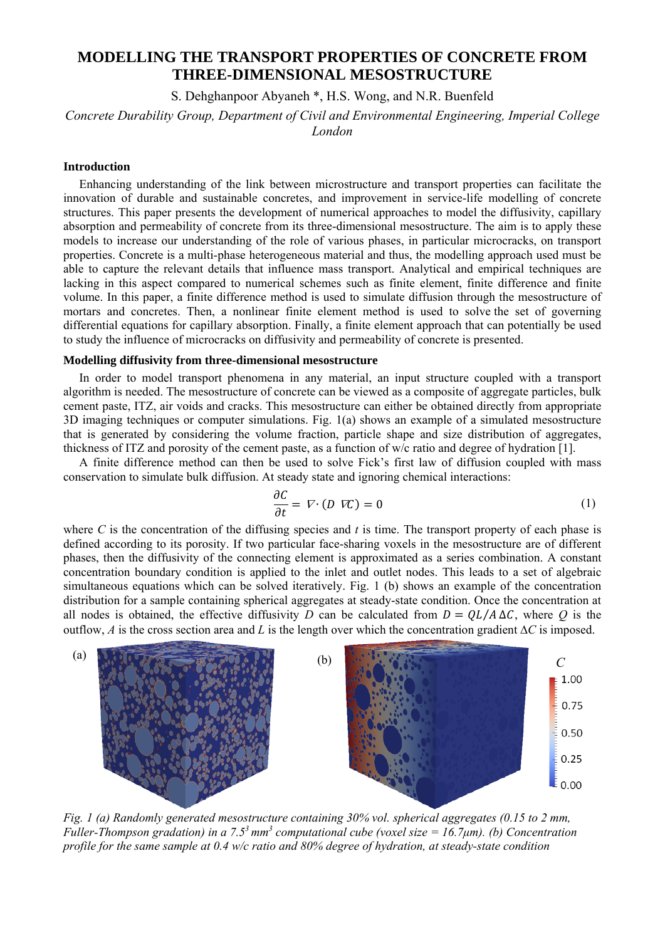# **MODELLING THE TRANSPORT PROPERTIES OF CONCRETE FROM THREE-DIMENSIONAL MESOSTRUCTURE**

S. Dehghanpoor Abyaneh \*, H.S. Wong, and N.R. Buenfeld

*Concrete Durability Group, Department of Civil and Environmental Engineering, Imperial College London* 

## **Introduction**

Enhancing understanding of the link between microstructure and transport properties can facilitate the innovation of durable and sustainable concretes, and improvement in service-life modelling of concrete structures. This paper presents the development of numerical approaches to model the diffusivity, capillary absorption and permeability of concrete from its three-dimensional mesostructure. The aim is to apply these models to increase our understanding of the role of various phases, in particular microcracks, on transport properties. Concrete is a multi-phase heterogeneous material and thus, the modelling approach used must be able to capture the relevant details that influence mass transport. Analytical and empirical techniques are lacking in this aspect compared to numerical schemes such as finite element, finite difference and finite volume. In this paper, a finite difference method is used to simulate diffusion through the mesostructure of mortars and concretes. Then, a nonlinear finite element method is used to solve the set of governing differential equations for capillary absorption. Finally, a finite element approach that can potentially be used to study the influence of microcracks on diffusivity and permeability of concrete is presented.

## **Modelling diffusivity from three-dimensional mesostructure**

In order to model transport phenomena in any material, an input structure coupled with a transport algorithm is needed. The mesostructure of concrete can be viewed as a composite of aggregate particles, bulk cement paste, ITZ, air voids and cracks. This mesostructure can either be obtained directly from appropriate 3D imaging techniques or computer simulations. Fig. 1(a) shows an example of a simulated mesostructure that is generated by considering the volume fraction, particle shape and size distribution of aggregates, thickness of ITZ and porosity of the cement paste, as a function of w/c ratio and degree of hydration [1].

A finite difference method can then be used to solve Fick's first law of diffusion coupled with mass conservation to simulate bulk diffusion. At steady state and ignoring chemical interactions:

$$
\frac{\partial C}{\partial t} = \nabla \cdot (D \nabla C) = 0 \tag{1}
$$

where *C* is the concentration of the diffusing species and *t* is time. The transport property of each phase is defined according to its porosity. If two particular face-sharing voxels in the mesostructure are of different phases, then the diffusivity of the connecting element is approximated as a series combination. A constant concentration boundary condition is applied to the inlet and outlet nodes. This leads to a set of algebraic simultaneous equations which can be solved iteratively. Fig. 1 (b) shows an example of the concentration distribution for a sample containing spherical aggregates at steady-state condition. Once the concentration at all nodes is obtained, the effective diffusivity *D* can be calculated from  $D = QL/A \Delta C$ , where *Q* is the outflow, *A* is the cross section area and *L* is the length over which the concentration gradient  $\Delta C$  is imposed.



*Fig. 1 (a) Randomly generated mesostructure containing 30% vol. spherical aggregates (0.15 to 2 mm, Fuller-Thompson gradation) in a 7.53 mm3 computational cube (voxel size = 16.7μm). (b) Concentration profile for the same sample at 0.4 w/c ratio and 80% degree of hydration, at steady-state condition*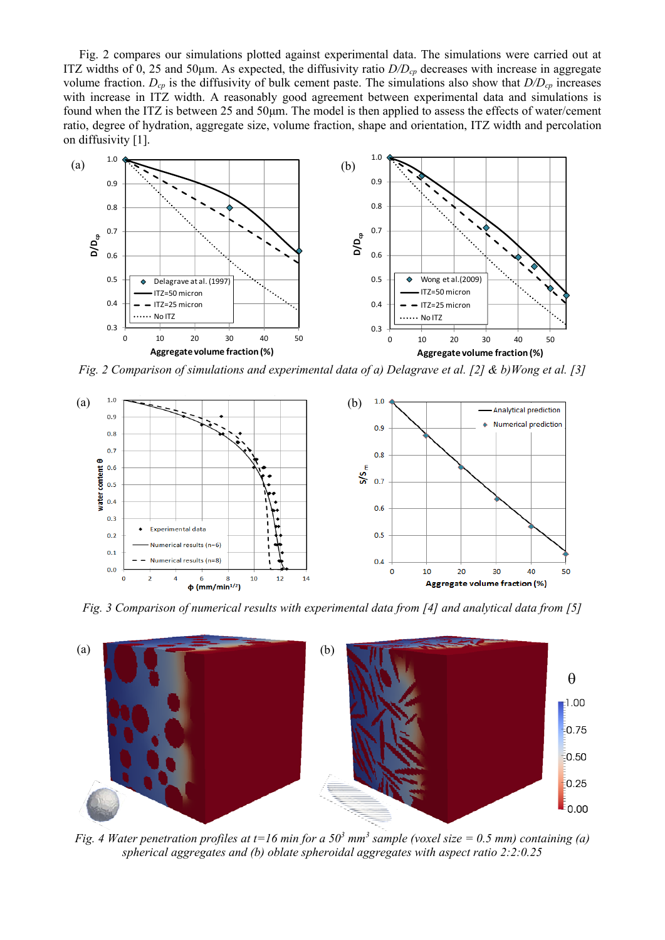Fig. 2 compares our simulations plotted against experimental data. The simulations were carried out at ITZ widths of 0, 25 and 50μm. As expected, the diffusivity ratio *D/Dcp* decreases with increase in aggregate volume fraction.  $D_{cp}$  is the diffusivity of bulk cement paste. The simulations also show that  $D/D_{cp}$  increases with increase in ITZ width. A reasonably good agreement between experimental data and simulations is found when the ITZ is between 25 and 50μm. The model is then applied to assess the effects of water/cement ratio, degree of hydration, aggregate size, volume fraction, shape and orientation, ITZ width and percolation on diffusivity [1].



*Fig. 2 Comparison of simulations and experimental data of a) Delagrave et al. [2] & b)Wong et al. [3]* 



*Fig. 3 Comparison of numerical results with experimental data from [4] and analytical data from [5]* 



*Fig. 4 Water penetration profiles at t=16 min for a 50<sup>3</sup> mm<sup>3</sup> sample (voxel size = 0.5 mm) containing (a) spherical aggregates and (b) oblate spheroidal aggregates with aspect ratio 2:2:0.25*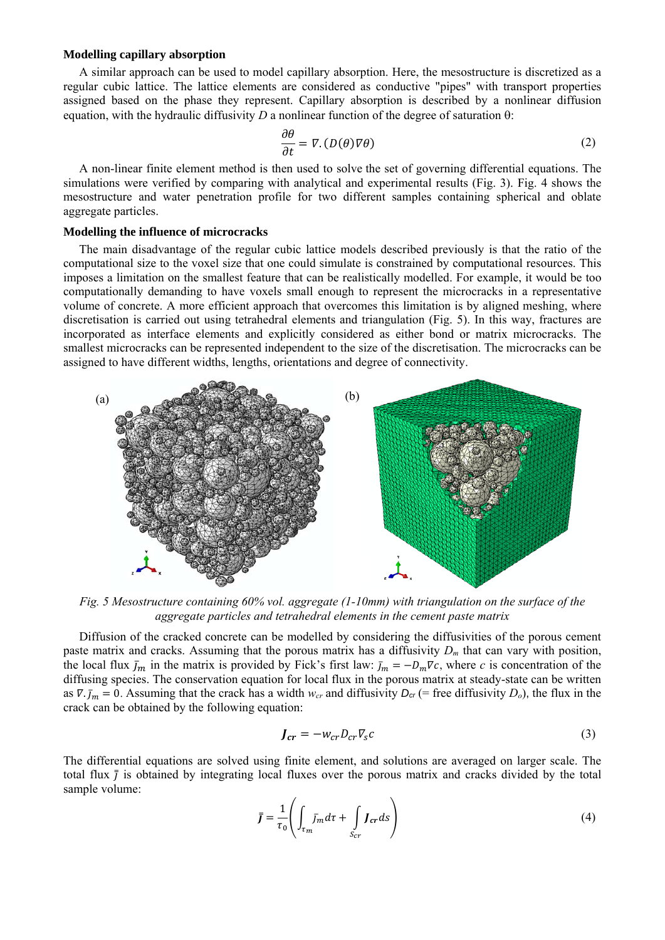## **Modelling capillary absorption**

A similar approach can be used to model capillary absorption. Here, the mesostructure is discretized as a regular cubic lattice. The lattice elements are considered as conductive "pipes" with transport properties assigned based on the phase they represent. Capillary absorption is described by a nonlinear diffusion equation, with the hydraulic diffusivity *D* a nonlinear function of the degree of saturation  $\theta$ :

$$
\frac{\partial \theta}{\partial t} = \nabla \cdot (D(\theta)\nabla \theta) \tag{2}
$$

A non-linear finite element method is then used to solve the set of governing differential equations. The simulations were verified by comparing with analytical and experimental results (Fig. 3). Fig. 4 shows the mesostructure and water penetration profile for two different samples containing spherical and oblate aggregate particles.

### **Modelling the influence of microcracks**

The main disadvantage of the regular cubic lattice models described previously is that the ratio of the computational size to the voxel size that one could simulate is constrained by computational resources. This imposes a limitation on the smallest feature that can be realistically modelled. For example, it would be too computationally demanding to have voxels small enough to represent the microcracks in a representative volume of concrete. A more efficient approach that overcomes this limitation is by aligned meshing, where discretisation is carried out using tetrahedral elements and triangulation (Fig. 5). In this way, fractures are incorporated as interface elements and explicitly considered as either bond or matrix microcracks. The smallest microcracks can be represented independent to the size of the discretisation. The microcracks can be assigned to have different widths, lengths, orientations and degree of connectivity.



*Fig. 5 Mesostructure containing 60% vol. aggregate (1-10mm) with triangulation on the surface of the aggregate particles and tetrahedral elements in the cement paste matrix* 

 Diffusion of the cracked concrete can be modelled by considering the diffusivities of the porous cement paste matrix and cracks. Assuming that the porous matrix has a diffusivity *Dm* that can vary with position, the local flux  $\bar{I}_m$  in the matrix is provided by Fick's first law:  $\bar{I}_m = -D_m \nabla c$ , where *c* is concentration of the diffusing species. The conservation equation for local flux in the porous matrix at steady-state can be written as  $\nabla \cdot \vec{I}_m = 0$ . Assuming that the crack has a width  $w_{cr}$  and diffusivity  $D_{cr}$  (= free diffusivity  $D_o$ ), the flux in the crack can be obtained by the following equation:

$$
J_{cr} = -w_{cr}D_{cr}\nabla_s c \tag{3}
$$

The differential equations are solved using finite element, and solutions are averaged on larger scale. The total flux  $\bar{j}$  is obtained by integrating local fluxes over the porous matrix and cracks divided by the total sample volume:

$$
\bar{J} = \frac{1}{\tau_0} \left( \int_{\tau_m} \bar{J}_m \, d\tau + \int_{S_{cr}} J_{cr} \, ds \right) \tag{4}
$$